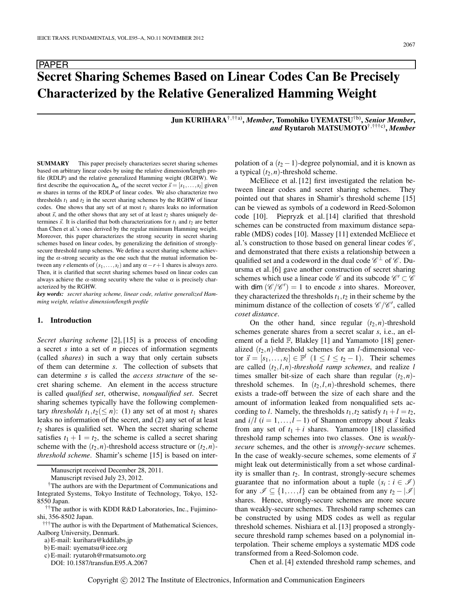# **Secret Sharing Schemes Based on Linear Codes Can Be Precisely Characterized by the Relative Generalized Hamming Weight**

**Jun KURIHARA**†,††a)**,** *Member***, Tomohiko UYEMATSU**†b)**,** *Senior Member***,** *and* **Ryutaroh MATSUMOTO**†,†††c)**,** *Member*

**SUMMARY** This paper precisely characterizes secret sharing schemes based on arbitrary linear codes by using the relative dimension/length profile (RDLP) and the relative generalized Hamming weight (RGHW). We first describe the equivocation  $\Delta_m$  of the secret vector  $\vec{s} = [s_1, \ldots, s_l]$  given *m* shares in terms of the RDLP of linear codes. We also characterize two thresholds  $t_1$  and  $t_2$  in the secret sharing schemes by the RGHW of linear codes. One shows that any set of at most  $t_1$  shares leaks no information about  $\vec{s}$ , and the other shows that any set of at least  $t_2$  shares uniquely determines  $\vec{s}$ . It is clarified that both characterizations for  $t_1$  and  $t_2$  are better than Chen et al.'s ones derived by the regular minimum Hamming weight. Moreover, this paper characterizes the strong security in secret sharing schemes based on linear codes, by generalizing the definition of stronglysecure threshold ramp schemes. We define a secret sharing scheme achieving the  $\alpha$ -strong security as the one such that the mutual information between any *r* elements of  $(s_1,...,s_l)$  and any  $\alpha - r + 1$  shares is always zero. Then, it is clarified that secret sharing schemes based on linear codes can always achieve the  $\alpha$ -strong security where the value  $\alpha$  is precisely characterized by the RGHW.

*key words: secret sharing scheme, linear code, relative generalized Hamming weight, relative dimension/length profile*

## **1. Introduction**

PAPER

*Secret sharing scheme* [2], [15] is a process of encoding a secret *s* into a set of *n* pieces of information segments (called *shares*) in such a way that only certain subsets of them can determine *s*. The collection of subsets that can determine *s* is called the *access structure* of the secret sharing scheme. An element in the access structure is called *qualified set*, otherwise, *nonqualified set*. Secret sharing schemes typically have the following complementary *thresholds*  $t_1, t_2 \leq n$ : (1) any set of at most  $t_1$  shares leaks no information of the secret, and (2) any set of at least  $t_2$  shares is qualified set. When the secret sharing scheme satisfies  $t_1 + 1 = t_2$ , the scheme is called a secret sharing scheme with the  $(t_2, n)$ -threshold access structure or  $(t_2, n)$ *threshold scheme*. Shamir's scheme [15] is based on inter-

Manuscript received December 28, 2011.

Manuscript revised July 23, 2012.

<sup>†††</sup>The author is with the Department of Mathematical Sciences, Aalborg University, Denmark.

DOI: 10.1587/transfun.E95.A.2067

polation of a  $(t_2 - 1)$ -degree polynomial, and it is known as a typical  $(t_2, n)$ -threshold scheme.

McEliece et al. [12] first investigated the relation between linear codes and secret sharing schemes. They pointed out that shares in Shamir's threshold scheme [15] can be viewed as symbols of a codeword in Reed-Solomon code [10]. Piepryzk et al. [14] clarified that threshold schemes can be constructed from maximum distance separable (MDS) codes [10]. Massey [11] extended McEliece et al.'s construction to those based on general linear codes *C* , and demonstrated that there exists a relationship between a qualified set and a codeword in the dual code  $\mathscr{C}^\perp$  of  $\mathscr{C}$ . Duursma et al. [6] gave another construction of secret sharing schemes which use a linear code  $\mathscr C$  and its subcode  $\mathscr C' \subset \mathscr C$ with dim  $(\mathcal{C}/\mathcal{C}') = 1$  to encode *s* into shares. Moreover, they characterized the thresholds  $t_1, t_2$  in their scheme by the minimum distance of the collection of cosets  $\mathscr{C}/\mathscr{C}'$ , called *coset distance*.

On the other hand, since regular  $(t_2, n)$ -threshold schemes generate shares from a secret scalar *s*, i.e., an element of a field F, Blakley [1] and Yamamoto [18] generalized  $(t_2, n)$ -threshold schemes for an *l*-dimensional vector  $\vec{s} = [s_1, \ldots, s_l] \in \mathbb{F}^l$   $(1 \le l \le t_2 - 1)$ . Their schemes are called  $(t_2, l, n)$ *-threshold ramp schemes*, and realize *l* times smaller bit-size of each share than regular  $(t_2, n)$ threshold schemes. In  $(t_2, l, n)$ -threshold schemes, there exists a trade-off between the size of each share and the amount of information leaked from nonqualified sets according to *l*. Namely, the thresholds  $t_1, t_2$  satisfy  $t_1 + l = t_2$ , and  $i/l$  ( $i = 1, ..., l - 1$ ) of Shannon entropy about  $\vec{s}$  leaks from any set of  $t_1 + i$  shares. Yamamoto [18] classified threshold ramp schemes into two classes. One is *weaklysecure* schemes, and the other is *strongly-secure* schemes. In the case of weakly-secure schemes, some elements of  $\bar{s}$ might leak out deterministically from a set whose cardinality is smaller than  $t_2$ . In contrast, strongly-secure schemes guarantee that no information about a tuple  $(s_i : i \in \mathcal{I})$ for any  $\mathscr{I} \subseteq \{1, ..., l\}$  can be obtained from any  $t_2 - |\mathscr{I}|$ shares. Hence, strongly-secure schemes are more secure than weakly-secure schemes. Threshold ramp schemes can be constructed by using MDS codes as well as regular threshold schemes. Nishiara et al. [13] proposed a stronglysecure threshold ramp schemes based on a polynomial interpolation. Their scheme employs a systematic MDS code transformed from a Reed-Solomon code.

Chen et al. [4] extended threshold ramp schemes, and

<sup>†</sup>The authors are with the Department of Communications and Integrated Systems, Tokyo Institute of Technology, Tokyo, 152- 8550 Japan.

<sup>††</sup>The author is with KDDI R&D Laboratories, Inc., Fujiminoshi, 356-8502 Japan.

a) E-mail: kurihara@kddilabs.jp

b) E-mail: uyematsu@ieee.org

c) E-mail: ryutaroh@rmatsumoto.org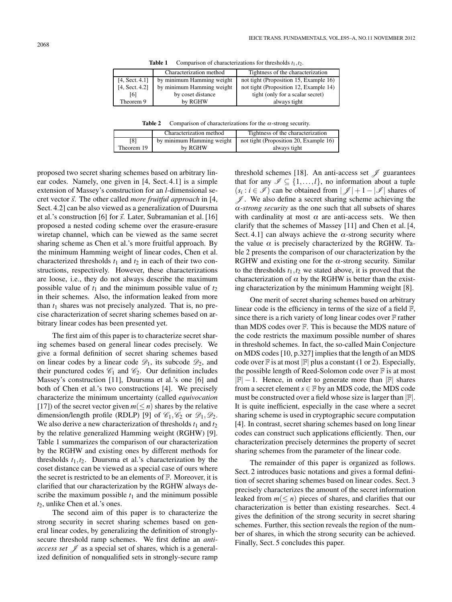**Table 1** Comparison of characterizations for thresholds  $t_1, t_2$ .

|                | Characterization method   | Tightness of the characterization      |
|----------------|---------------------------|----------------------------------------|
| [4, Sect. 4.1] | by minimum Hamming weight | not tight (Proposition 15, Example 16) |
| [4, Sect. 4.2] | by minimum Hamming weight | not tight (Proposition 12, Example 14) |
| [6]            | by coset distance         | tight (only for a scalar secret)       |
| Theorem 9      | by RGHW                   | always tight                           |

**Table 2** Comparison of characterizations for the  $\alpha$ -strong security.

|            | Characterization method   | Tightness of the characterization      |
|------------|---------------------------|----------------------------------------|
| [8]        | by minimum Hamming weight | not tight (Proposition 20, Example 16) |
| Theorem 19 | by RGHW                   | always tight                           |

proposed two secret sharing schemes based on arbitrary linear codes. Namely, one given in [4, Sect. 4.1] is a simple extension of Massey's construction for an *l*-dimensional secret vector  $\vec{s}$ . The other called *more fruitful approach* in [4, Sect. 4.2] can be also viewed as a generalization of Duursma et al.'s construction [6] for  $\vec{s}$ . Later, Subramanian et al. [16] proposed a nested coding scheme over the erasure-erasure wiretap channel, which can be viewed as the same secret sharing scheme as Chen et al.'s more fruitful approach. By the minimum Hamming weight of linear codes, Chen et al. characterized thresholds  $t_1$  and  $t_2$  in each of their two constructions, respectively. However, these characterizations are loose, i.e., they do not always describe the maximum possible value of  $t_1$  and the minimum possible value of  $t_2$ in their schemes. Also, the information leaked from more than  $t_1$  shares was not precisely analyzed. That is, no precise characterization of secret sharing schemes based on arbitrary linear codes has been presented yet.

The first aim of this paper is to characterize secret sharing schemes based on general linear codes precisely. We give a formal definition of secret sharing schemes based on linear codes by a linear code  $\mathcal{D}_1$ , its subcode  $\mathcal{D}_2$ , and their punctured codes  $\mathcal{C}_1$  and  $\mathcal{C}_2$ . Our definition includes Massey's construction [11], Duursma et al.'s one [6] and both of Chen et al.'s two constructions [4]. We precisely characterize the minimum uncertainty (called *equivocation* [17]) of the secret vector given  $m \leq n$  shares by the relative dimension/length profile (RDLP) [9] of  $\mathcal{C}_1, \mathcal{C}_2$  or  $\mathcal{D}_1, \mathcal{D}_2$ . We also derive a new characterization of thresholds  $t_1$  and  $t_2$ by the relative generalized Hamming weight (RGHW) [9]. Table 1 summarizes the comparison of our characterization by the RGHW and existing ones by different methods for thresholds  $t_1, t_2$ . Duursma et al.'s characterization by the coset distance can be viewed as a special case of ours where the secret is restricted to be an elements of F. Moreover, it is clarified that our characterization by the RGHW always describe the maximum possible  $t_1$  and the minimum possible *t*2, unlike Chen et al.'s ones.

The second aim of this paper is to characterize the strong security in secret sharing schemes based on general linear codes, by generalizing the definition of stronglysecure threshold ramp schemes. We first define an *antiaccess set J* as a special set of shares, which is a generalized definition of nonqualified sets in strongly-secure ramp threshold schemes [18]. An anti-access set *J* guarantees that for any  $\mathscr{I} \subseteq \{1, ..., l\}$ , no information about a tuple  $(s_i : i \in \mathcal{I})$  can be obtained from  $|\mathcal{I}| + 1 - |\mathcal{I}|$  shares of *J* . We also define a secret sharing scheme achieving the <sup>α</sup>*-strong security* as the one such that all subsets of shares with cardinality at most  $\alpha$  are anti-access sets. We then clarify that the schemes of Massey [11] and Chen et al. [4, Sect. 4.1] can always achieve the  $\alpha$ -strong security where the value  $\alpha$  is precisely characterized by the RGHW. Table 2 presents the comparison of our characterization by the RGHW and existing one for the  $\alpha$ -strong security. Similar to the thresholds  $t_1, t_2$  we stated above, it is proved that the characterization of  $\alpha$  by the RGHW is better than the existing characterization by the minimum Hamming weight [8].

One merit of secret sharing schemes based on arbitrary linear code is the efficiency in terms of the size of a field F, since there is a rich variety of long linear codes over  $F$  rather than MDS codes over F. This is because the MDS nature of the code restricts the maximum possible number of shares in threshold schemes. In fact, the so-called Main Conjecture on MDS codes [10, p.327] implies that the length of an MDS code over  $\mathbb F$  is at most  $|\mathbb F|$  plus a constant (1 or 2). Especially, the possible length of Reed-Solomon code over  $\mathbb F$  is at most  $|\mathbb{F}| - 1$ . Hence, in order to generate more than  $|\mathbb{F}|$  shares from a secret element  $s \in \mathbb{F}$  by an MDS code, the MDS code must be constructed over a field whose size is larger than  $|\mathbb{F}|$ . It is quite inefficient, especially in the case where a secret sharing scheme is used in cryptographic secure computation [4]. In contrast, secret sharing schemes based on long linear codes can construct such applications efficiently. Then, our characterization precisely determines the property of secret sharing schemes from the parameter of the linear code.

The remainder of this paper is organized as follows. Sect. 2 introduces basic notations and gives a formal definition of secret sharing schemes based on linear codes. Sect. 3 precisely characterizes the amount of the secret information leaked from  $m(\leq n)$  pieces of shares, and clarifies that our characterization is better than existing researches. Sect. 4 gives the definition of the strong security in secret sharing schemes. Further, this section reveals the region of the number of shares, in which the strong security can be achieved. Finally, Sect. 5 concludes this paper.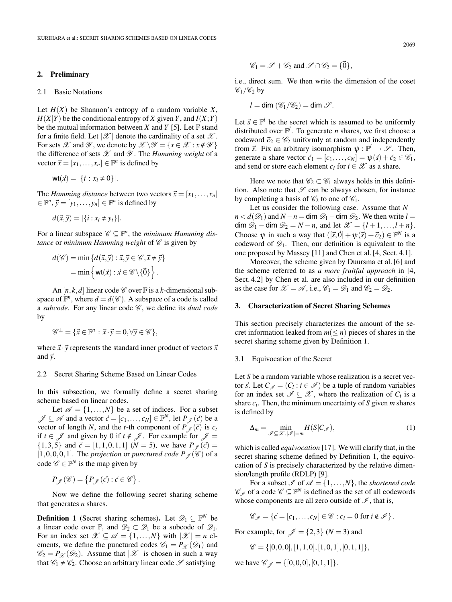## **2. Preliminary**

#### 2.1 Basic Notations

Let  $H(X)$  be Shannon's entropy of a random variable X,  $H(X|Y)$  be the conditional entropy of *X* given *Y*, and  $I(X;Y)$ be the mutual information between *X* and *Y* [5]. Let  $\mathbb F$  stand for a finite field. Let  $|\mathscr{X}|$  denote the cardinality of a set  $\mathscr{X}$ . For sets  $\mathscr X$  and  $\mathscr Y$ , we denote by  $\mathscr X \backslash \mathscr Y = \{x \in \mathscr X : x \notin \mathscr Y\}$ the difference of sets *X* and *Y* . The *Hamming weight* of a vector  $\vec{x} = [x_1, \dots, x_n] \in \mathbb{F}^n$  is defined by

$$
\mathsf{wt}(\vec{x}) = |\{i : x_i \neq 0\}|.
$$

The *Hamming distance* between two vectors  $\vec{x} = [x_1, \dots, x_n]$  $y \in \mathbb{F}^n$ ,  $\vec{y} = [y_1, \dots, y_n] \in \mathbb{F}^n$  is defined by

$$
d(\vec{x}, \vec{y}) = |\{i : x_i \neq y_i\}|.
$$

For a linear subspace  $\mathscr{C} \subseteq \mathbb{F}^n$ , the *minimum Hamming distance* or *minimum Hamming weight* of *C* is given by

$$
d(\mathscr{C}) = \min \{ d(\vec{x}, \vec{y}) : \vec{x}, \vec{y} \in \mathscr{C}, \vec{x} \neq \vec{y} \}
$$

$$
= \min \left\{ \text{wt}(\vec{x}) : \vec{x} \in \mathscr{C} \setminus \{ \vec{0} \} \right\}.
$$

An  $[n, k, d]$  linear code  $\mathcal C$  over  $\mathbb F$  is a *k*-dimensional subspace of  $\mathbb{F}^n$ , where  $d = d(\mathscr{C})$ . A subspace of a code is called a *subcode*. For any linear code *C* , we define its *dual code* by

$$
\mathscr{C}^\perp = \{ \vec{x} \in \mathbb{F}^n : \vec{x} \cdot \vec{y} = 0, \forall \vec{y} \in \mathscr{C} \},
$$

where  $\vec{x} \cdot \vec{y}$  represents the standard inner product of vectors  $\vec{x}$ and-*y*.

#### 2.2 Secret Sharing Scheme Based on Linear Codes

In this subsection, we formally define a secret sharing scheme based on linear codes.

Let  $\mathscr{A} = \{1, ..., N\}$  be a set of indices. For a subset  $\mathscr{J} \subseteq \mathscr{A}$  and a vector  $\vec{c} = [c_1, \dots, c_N] \in \mathbb{F}^N$ , let  $P_{\mathscr{J}}(\vec{c})$  be a vector of length *N*, and the *t*-th component of  $P_{\mathscr{J}}(\vec{c})$  is  $c_t$ if  $t \in \mathcal{J}$  and given by 0 if  $t \notin \mathcal{J}$ . For example for  $\mathcal{J} =$  $\{1,3,5\}$  and  $\vec{c} = [1,1,0,1,1]$  ( $N = 5$ ), we have  $P_{\mathscr{J}}(\vec{c}) =$  $[1,0,0,0,1]$ . The *projection* or *punctured code P<sub>I</sub>* ( $\mathscr{C}$ ) of a code  $\mathscr{C} \in \mathbb{F}^N$  is the map given by

$$
P_{\mathscr{J}}(\mathscr{C}) = \left\{ P_{\mathscr{J}}(\vec{c}) : \vec{c} \in \mathscr{C} \right\}.
$$

Now we define the following secret sharing scheme that generates *n* shares.

**Definition 1** (Secret sharing schemes). Let  $\mathscr{D}_1 \subseteq \mathbb{F}^N$  be a linear code over F, and  $\mathscr{D}_2 \subset \mathscr{D}_1$  be a subcode of  $\mathscr{D}_1$ . For an index set  $\mathscr{X} \subseteq \mathscr{A} = \{1, ..., N\}$  with  $|\mathscr{X}| = n$  elements, we define the punctured codes  $\mathcal{C}_1 = P_{\mathcal{X}}(\mathcal{D}_1)$  and  $\mathscr{C}_2 = P_{\mathscr{X}}(\mathscr{D}_2)$ . Assume that  $|\mathscr{X}|$  is chosen in such a way that  $\mathcal{C}_1 \neq \mathcal{C}_2$ . Choose an arbitrary linear code  $\mathcal{S}$  satisfying

$$
\mathscr{C}_1 = \mathscr{S} + \mathscr{C}_2 \text{ and } \mathscr{S} \cap \mathscr{C}_2 = \{\vec{0}\},
$$

i.e., direct sum. We then write the dimension of the coset  $\mathscr{C}_1/\mathscr{C}_2$  by

$$
l=\dim(\mathscr{C}_1/\mathscr{C}_2)=\dim\mathscr{S}.
$$

Let  $\vec{s} \in \mathbb{F}^l$  be the secret which is assumed to be uniformly distributed over  $\mathbb{F}^l$ . To generate *n* shares, we first choose a codeword  $\vec{c}_2 \in \mathcal{C}_2$  uniformly at random and independently from  $\vec{s}$ . Fix an arbitrary isomorphism  $\psi : \mathbb{F}^l \to \mathcal{S}$ . Then, generate a share vector  $\vec{c}_1 = [c_1, \ldots, c_N] = \psi(\vec{s}) + \vec{c}_2 \in \mathcal{C}_1$ , and send or store each element  $c_i$  for  $i \in \mathcal{X}$  as a share.

Here we note that  $\mathcal{C}_2 \subset \mathcal{C}_1$  always holds in this definition. Also note that  $\mathscr S$  can be always chosen, for instance by completing a basis of  $\mathcal{C}_2$  to one of  $\mathcal{C}_1$ .

Let us consider the following case. Assume that  $N$  $n < d(\mathcal{D}_1)$  and  $N - n =$  dim  $\mathcal{D}_1$  − dim  $\mathcal{D}_2$ . We then write  $l =$ dim  $\mathcal{D}_1$  − dim  $\mathcal{D}_2 = N - n$ , and let  $\mathcal{X} = \{l+1,\ldots,l+n\}.$ Choose  $\psi$  in such a way that  $([\vec{s}, \vec{0}] + \psi(\vec{s}) + \vec{c}_2) \in \mathbb{F}^N$  is a codeword of  $\mathscr{D}_1$ . Then, our definition is equivalent to the one proposed by Massey [11] and Chen et al. [4, Sect. 4.1].

Moreover, the scheme given by Duursma et al. [6] and the scheme referred to as *a more fruitful approach* in [4, Sect. 4.2] by Chen et al. are also included in our definition as the case for  $\mathcal{X} = \mathcal{A}$ , i.e.,  $\mathcal{C}_1 = \mathcal{D}_1$  and  $\mathcal{C}_2 = \mathcal{D}_2$ .

# **3. Characterization of Secret Sharing Schemes**

This section precisely characterizes the amount of the secret information leaked from  $m(\leq n)$  pieces of shares in the secret sharing scheme given by Definition 1.

## 3.1 Equivocation of the Secret

Let *S* be a random variable whose realization is a secret vector  $\vec{s}$ . Let  $C_{\mathscr{I}} = (C_i : i \in \mathscr{I})$  be a tuple of random variables for an index set  $\mathscr{I} \subseteq \mathscr{X}$ , where the realization of  $C_i$  is a share *ci*. Then, the minimum uncertainty of *S* given *m* shares is defined by

$$
\Delta_m = \min_{\mathcal{J} \subseteq \mathcal{X}, |\mathcal{J}| = m} H(S|C_{\mathcal{J}}),\tag{1}
$$

which is called *equivocation* [17]. We will clarify that, in the secret sharing scheme defined by Definition 1, the equivocation of *S* is precisely characterized by the relative dimension/length profile (RDLP) [9].

For a subset  $\mathcal{I}$  of  $\mathcal{A} = \{1, ..., N\}$ , the *shortened code*  $\mathscr{C}_{\mathscr{I}}$  of a code  $\mathscr{C} \subseteq \mathbb{F}^N$  is defined as the set of all codewords whose components are all zero outside of  $\mathscr{I}$ , that is,

 $\mathscr{C}_{\mathscr{I}} = {\vec{c} = [c_1, ..., c_N] \in \mathscr{C} : c_i = 0 \text{ for } i \notin \mathscr{I}}.$ 

For example, for  $\mathcal{J} = \{2,3\}$  ( $N = 3$ ) and

$$
\mathscr{C} = \{ [0,0,0], [1,1,0], [1,0,1], [0,1,1] \},
$$

we have  $\mathcal{C}_{\ell} = \{[0,0,0], [0,1,1]\}.$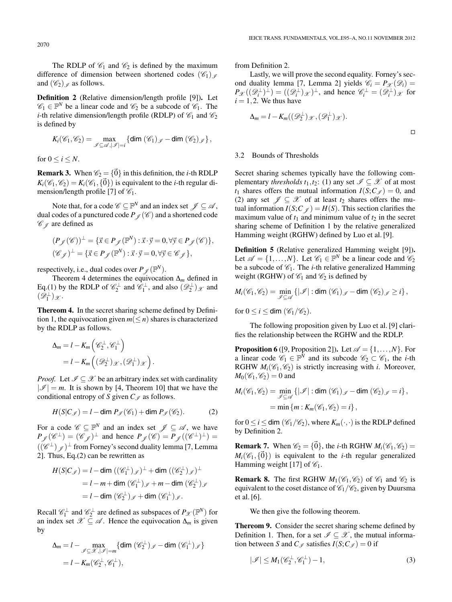The RDLP of  $\mathcal{C}_1$  and  $\mathcal{C}_2$  is defined by the maximum difference of dimension between shortened codes  $(\mathscr{C}_1)$ <sub>*I*</sub> and  $(\mathscr{C}_2)$  as follows.

**Definition 2** (Relative dimension/length profile [9])**.** Let  $\mathscr{C}_1 \in \mathbb{F}^N$  be a linear code and  $\mathscr{C}_2$  be a subcode of  $\mathscr{C}_1$ . The *i*-th relative dimension/length profile (RDLP) of  $\mathcal{C}_1$  and  $\mathcal{C}_2$ is defined by

$$
K_i(\mathscr{C}_1,\mathscr{C}_2)=\max_{\mathscr{I}\subseteq\mathscr{A},|\mathscr{I}|=i}\{\dim(\mathscr{C}_1)_\mathscr{I}-\dim(\mathscr{C}_2)_\mathscr{I}\},\,
$$

for  $0 \le i \le N$ .

**Remark 3.** When  $\mathcal{C}_2 = \{\vec{0}\}\$ in this definition, the *i*-th RDLP  $K_i(\mathcal{C}_1, \mathcal{C}_2) = K_i(\mathcal{C}_1, {\vec{0}})$  is equivalent to the *i*-th regular dimension/length profile [7] of  $\mathcal{C}_1$ .

Note that, for a code  $\mathscr{C} \subseteq \mathbb{F}^N$  and an index set  $\mathscr{J} \subseteq \mathscr{A}$ , dual codes of a punctured code  $P_{\mathscr{J}}(\mathscr{C})$  and a shortened code *C*<sub> $\ell$ </sub> are defined as

$$
\begin{aligned} & (P_{\mathscr{J}}(\mathscr{C}))^\perp = \{ \vec{x} \in P_{\mathscr{J}}(\mathbb{F}^N) : \vec{x} \cdot \vec{y} = 0, \forall \vec{y} \in P_{\mathscr{J}}(\mathscr{C}) \}, \\ & (\mathscr{C}_{\mathscr{J}})^\perp = \{ \vec{x} \in P_{\mathscr{J}}(\mathbb{F}^N) : \vec{x} \cdot \vec{y} = 0, \forall \vec{y} \in \mathscr{C}_{\mathscr{J}} \}, \end{aligned}
$$

respectively, i.e., dual codes over  $P_{\varnothing}(\mathbb{F}^N)$ .

Theorem 4 determines the equivocation Δ*<sup>m</sup>* defined in Eq.(1) by the RDLP of  $\mathscr{C}_2^{\perp}$  and  $\mathscr{C}_1^{\perp}$ , and also  $(\mathscr{D}_2^{\perp})_{\mathscr{X}}$  and  $(\mathscr{D}_1^{\perp})_{\mathscr{X}}$ .

**Thereom 4.** In the secret sharing scheme defined by Definition 1, the equivocation given  $m(\leq n)$  shares is characterized by the RDLP as follows.

$$
\Delta_m = l - K_m \left( \mathscr{C}_2^{\perp}, \mathscr{C}_1^{\perp} \right)
$$
  
=  $l - K_m \left( (\mathscr{D}_2^{\perp})_{\mathscr{X}}, (\mathscr{D}_1^{\perp})_{\mathscr{X}} \right)$ 

*Proof.* Let  $\mathcal{I} \subseteq \mathcal{X}$  be an arbitrary index set with cardinality  $|\mathcal{I}| = m$ . It is shown by [4, Theorem 10] that we have the conditional entropy of *S* given  $C_{\mathscr{I}}$  as follows.

$$
H(S|C_{\mathscr{I}}) = l - \dim P_{\mathscr{I}}(\mathscr{C}_1) + \dim P_{\mathscr{I}}(\mathscr{C}_2). \tag{2}
$$

.

For a code  $\mathscr{C} \subseteq \mathbb{F}^N$  and an index set  $\mathscr{J} \subseteq \mathscr{A}$ , we have  $P_{\mathscr{J}}(\mathscr{C}^{\perp})=(\mathscr{C}_{\mathscr{J}})^{\perp}$  and hence  $P_{\mathscr{J}}(\mathscr{C})=P_{\mathscr{J}}((\mathscr{C}^{\perp})^{\perp})=$  $((\mathscr{C}^{\perp})_{\mathscr{D}})^{\perp}$  from Forney's second duality lemma [7, Lemma 2]. Thus, Eq.(2) can be rewritten as

$$
H(S|C_{\mathscr{I}}) = l - \dim ((\mathscr{C}_1^{\perp})_{\mathscr{I}})^{\perp} + \dim ((\mathscr{C}_2^{\perp})_{\mathscr{I}})^{\perp}
$$
  
=  $l - m + \dim (\mathscr{C}_1^{\perp})_{\mathscr{I}} + m - \dim (\mathscr{C}_2^{\perp})_{\mathscr{I}}$   
=  $l - \dim (\mathscr{C}_2^{\perp})_{\mathscr{I}} + \dim (\mathscr{C}_1^{\perp})_{\mathscr{I}}$ .

Recall  $\mathcal{C}_1^{\perp}$  and  $\mathcal{C}_2^{\perp}$  are defined as subspaces of  $P_{\mathcal{X}}(\mathbb{F}^N)$  for an index set  $\mathscr{X} \subseteq \mathscr{A}$ . Hence the equivocation  $\Delta_m$  is given by

$$
\Delta_m = l - \max_{\mathscr{I} \subseteq \mathscr{X}, |\mathscr{I}| = m} \{ \dim (\mathscr{C}_2^{\perp})_{\mathscr{I}} - \dim (\mathscr{C}_1^{\perp})_{\mathscr{I}} \}
$$
  
=  $l - K_m(\mathscr{C}_2^{\perp}, \mathscr{C}_1^{\perp}),$ 

from Definition 2.

Lastly, we will prove the second equality. Forney's second duality lemma [7, Lemma 2] yields  $\mathcal{C}_i = P_{\mathcal{X}}(\mathcal{D}_i)$  =  $P_{\mathscr{X}}((\mathscr{D}_i^{\perp})^{\perp}) = ((\mathscr{D}_i^{\perp})_{\mathscr{X}})^{\perp}$ , and hence  $\mathscr{C}_i^{\perp} = (\mathscr{D}_i^{\perp})_{\mathscr{X}}$  for  $i = 1, 2$ . We thus have

$$
\Delta_m = l - K_m((\mathscr{D}_2^{\perp})_{\mathscr{X}}, (\mathscr{D}_1^{\perp})_{\mathscr{X}}).
$$

## 3.2 Bounds of Thresholds

Secret sharing schemes typically have the following complementary *thresholds*  $t_1, t_2$ : (1) any set  $\mathcal{I} \subseteq \mathcal{X}$  of at most  $t_1$  shares offers the mutual information  $I(S;C_{\mathscr{I}})=0$ , and (2) any set  $\mathcal{J} \subseteq \mathcal{X}$  of at least  $t_2$  shares offers the mutual information  $I(S; C \neq) = H(S)$ . This section clarifies the maximum value of  $t_1$  and minimum value of  $t_2$  in the secret sharing scheme of Definition 1 by the relative generalized Hamming weight (RGHW) defined by Luo et al. [9].

**Definition 5** (Relative generalized Hamming weight [9])**.** Let  $\mathscr{A} = \{1, ..., N\}$ . Let  $\mathscr{C}_1 \in \mathbb{F}^N$  be a linear code and  $\mathscr{C}_2$ be a subcode of  $C_1$ . The *i*-th relative generalized Hamming weight (RGHW) of  $\mathcal{C}_1$  and  $\mathcal{C}_2$  is defined by

$$
M_i(\mathscr{C}_1, \mathscr{C}_2) = \min_{\mathscr{I} \subseteq \mathscr{A}} \{ |\mathscr{I}| : \dim (\mathscr{C}_1)_{\mathscr{I}} - \dim (\mathscr{C}_2)_{\mathscr{I}} \ge i \},\
$$
  
for  $0 \le i \le \dim (\mathscr{C}_1/\mathscr{C}_2).$ 

The following proposition given by Luo et al. [9] clarifies the relationship between the RGHW and the RDLP.

**Proposition 6** ([9, Proposition 2]). Let  $\mathcal{A} = \{1, ..., N\}$ . For a linear code  $\mathscr{C}_1 \in \mathbb{F}^N$  and its subcode  $\mathscr{C}_2 \subset \mathscr{C}_1$ , the *i*-th RGHW  $M_i(\mathcal{C}_1, \mathcal{C}_2)$  is strictly increasing with *i*. Moreover,  $M_0(\mathscr{C}_1, \mathscr{C}_2) = 0$  and

$$
M_i(\mathscr{C}_1, \mathscr{C}_2) = \min_{\mathscr{I} \subseteq \mathscr{A}} \{ |\mathscr{I}| : \dim (\mathscr{C}_1)_{\mathscr{I}} - \dim (\mathscr{C}_2)_{\mathscr{I}} = i \},
$$
  
=  $\min \{ m : K_m(\mathscr{C}_1, \mathscr{C}_2) = i \},$ 

for  $0 \le i \le$  dim  $(\mathcal{C}_1/\mathcal{C}_2)$ , where  $K_m(\cdot, \cdot)$  is the RDLP defined by Definition 2.

**Remark 7.** When  $\mathcal{C}_2 = \{\vec{0}\}\$ , the *i*-th RGHW  $M_i(\mathcal{C}_1, \mathcal{C}_2) =$  $M_i(\mathscr{C}_1,\{\vec{0}\})$  is equivalent to the *i*-th regular generalized Hamming weight [17] of *C*1.

**Remark 8.** The first RGHW  $M_1(\mathcal{C}_1, \mathcal{C}_2)$  of  $\mathcal{C}_1$  and  $\mathcal{C}_2$  is equivalent to the coset distance of *C*1/*C*2, given by Duursma et al. [6].

We then give the following theorem.

**Thereom 9.** Consider the secret sharing scheme defined by Definition 1. Then, for a set  $\mathscr{I} \subset \mathscr{X}$ , the mutual information between *S* and  $C_{\mathscr{I}}$  satisfies  $I(S; C_{\mathscr{I}}) = 0$  if

$$
|\mathcal{I}| \le M_1(\mathcal{C}_2^{\perp}, \mathcal{C}_1^{\perp}) - 1,\tag{3}
$$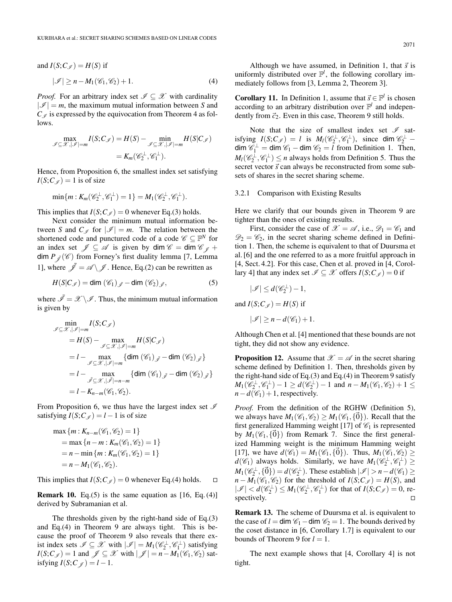and 
$$
I(S; C_{\mathscr{I}}) = H(S)
$$
 if  
\n
$$
|\mathscr{I}| \ge n - M_1(\mathscr{C}_1, \mathscr{C}_2) + 1.
$$
\n(4)

*Proof.* For an arbitrary index set  $\mathcal{I} \subseteq \mathcal{X}$  with cardinality  $|\mathcal{I}| = m$ , the maximum mutual information between *S* and  $C_{\mathscr{I}}$  is expressed by the equivocation from Theorem 4 as follows.

$$
\max_{\mathscr{I}\subseteq\mathscr{X},|\mathscr{I}|=m} I(S;C_{\mathscr{I}}) = H(S) - \min_{\mathscr{I}\subseteq\mathscr{X},|\mathscr{I}|=m} H(S|C_{\mathscr{I}})
$$

$$
= K_m(\mathscr{C}_2^{\perp},\mathscr{C}_1^{\perp}).
$$

Hence, from Proposition 6, the smallest index set satisfying  $I(S;C) = 1$  is of size

$$
\min\{m: K_m(\mathscr{C}_2^{\perp}, \mathscr{C}_1^{\perp})=1\}=M_1(\mathscr{C}_2^{\perp}, \mathscr{C}_1^{\perp}).
$$

This implies that  $I(S;C_{\mathscr{I}}) = 0$  whenever Eq.(3) holds.

Next consider the minimum mutual information between *S* and  $C_{\mathscr{I}}$  for  $|\mathscr{I}| = m$ . The relation between the shortened code and punctured code of a code  $\mathscr{C} \subseteq \mathbb{F}^N$  for an index set  $\mathcal{J} \subseteq \mathcal{A}$  is given by dim  $\mathcal{C} = \dim \mathcal{C}_{\mathcal{J}} +$ dim  $P_{\neq}(\mathscr{C})$  from Forney's first duality lemma [7, Lemma 1], where  $\mathscr{J} = \mathscr{A} \setminus \mathscr{J}$ . Hence, Eq.(2) can be rewritten as

$$
H(S|C_{\mathscr{I}}) = \dim (\mathscr{C}_1)_{\bar{\mathscr{I}}} - \dim (\mathscr{C}_2)_{\bar{\mathscr{I}}},
$$
\n(5)

where  $\bar{\mathscr{I}} = \mathscr{X} \backslash \mathscr{I}$ . Thus, the minimum mutual information is given by

$$
\begin{aligned}\n&\lim_{\mathscr{I}\subseteq\mathscr{X},|\mathscr{I}|=m} I(S;C_{\mathscr{I}}) \\
&=H(S) - \max_{\mathscr{I}\subseteq\mathscr{X},|\mathscr{I}|=m} H(S|C_{\mathscr{I}}) \\
&= l - \max_{\mathscr{I}\subseteq\mathscr{X},|\mathscr{I}|=m} \{ \dim (\mathscr{C}_1)_{\mathscr{J}} - \dim (\mathscr{C}_2)_{\mathscr{J}} \} \\
&= l - \max_{\mathscr{I}\subseteq\mathscr{X},|\mathscr{I}|=n-m} \{ \dim (\mathscr{C}_1)_{\mathscr{J}} - \dim (\mathscr{C}_2)_{\mathscr{J}} \} \\
&= l - K_{n-m}(\mathscr{C}_1,\mathscr{C}_2).\n\end{aligned}
$$

From Proposition 6, we thus have the largest index set *I* satisfying  $I(S;C_{\mathscr{I}}) = l - 1$  is of size

$$
\max \{ m : K_{n-m}(\mathcal{C}_1, \mathcal{C}_2) = 1 \}
$$
  
= max \{ n - m : K\_m(\mathcal{C}\_1, \mathcal{C}\_2) = 1 \}  
= n - \min \{ m : K\_m(\mathcal{C}\_1, \mathcal{C}\_2) = 1 \}  
= n - M\_1(\mathcal{C}\_1, \mathcal{C}\_2).

This implies that  $I(S;C_{\mathscr{I}}) = 0$  whenever Eq.(4) holds.  $\Box$ 

**Remark 10.** Eq.(5) is the same equation as [16, Eq.(4)] derived by Subramanian et al.

The thresholds given by the right-hand side of Eq.(3) and Eq.(4) in Theorem 9 are always tight. This is because the proof of Theorem 9 also reveals that there exist index sets  $\mathscr{I} \subseteq \mathscr{X}$  with  $|\mathscr{I}| = M_1(\mathscr{C}_2^{\perp}, \mathscr{C}_1^{\perp})$  satisfying *I*(*S*;*C*<sub>*J*</sub>) = 1 and  $\mathcal{J} \subseteq \mathcal{X}$  with  $|\mathcal{J}| = n - M_1(\mathcal{C}_1, \mathcal{C}_2)$  satisfying  $I(S; C \neq) = l - 1$ .

2071

Although we have assumed, in Definition 1, that  $\vec{s}$  is uniformly distributed over  $\mathbb{F}^l$ , the following corollary immediately follows from [3, Lemma 2, Theorem 3].

**Corollary 11.** In Definition 1, assume that  $\vec{s} \in \mathbb{F}^l$  is chosen according to an arbitrary distribution over  $\mathbb{F}^l$  and independently from  $\vec{c}_2$ . Even in this case, Theorem 9 still holds.

Note that the size of smallest index set  $\mathscr I$  satisfying  $I(S;C_{\mathscr{I}}) = l$  is  $M_l(\mathscr{C}_2^{\perp}, \mathscr{C}_1^{\perp})$ , since dim  $\mathscr{C}_2^{\perp}$  –  $\dim \mathscr{C}_1^{\perp} = \dim \mathscr{C}_1 - \dim \mathscr{C}_2 = l$  from Definition 1. Then,  $M_l(\mathscr{C}_2^{\perp}, \mathscr{C}_1^{\perp}) \leq n$  always holds from Definition 5. Thus the secret vector  $\vec{s}$  can always be reconstructed from some subsets of shares in the secret sharing scheme.

# 3.2.1 Comparison with Existing Results

Here we clarify that our bounds given in Theorem 9 are tighter than the ones of existing results.

First, consider the case of  $\mathscr{X} = \mathscr{A}$ , i.e.,  $\mathscr{D}_1 = \mathscr{C}_1$  and  $\mathscr{D}_2 = \mathscr{C}_2$ , in the secret sharing scheme defined in Definition 1. Then, the scheme is equivalent to that of Duursma et al. [6] and the one referred to as a more fruitful approach in [4, Sect. 4.2]. For this case, Chen et al. proved in [4, Corollary 4] that any index set  $\mathcal{I} \subseteq \mathcal{X}$  offers  $I(S; C_{\mathcal{I}}) = 0$  if

$$
|\mathscr{I}| \leq d(\mathscr{C}_2^{\perp}) - 1,
$$

and  $I(S; C \neq) = H(S)$  if  $|\mathcal{I}| \geq n - d(\mathcal{C}_1) + 1.$ 

Although Chen et al. [4] mentioned that these bounds are not tight, they did not show any evidence.

**Proposition 12.** Assume that  $\mathscr{X} = \mathscr{A}$  in the secret sharing scheme defined by Definition 1. Then, thresholds given by the right-hand side of Eq.(3) and Eq.(4) in Theorem 9 satisfy  $M_1(\mathscr{C}_2^{\perp}, \mathscr{C}_1^{\perp}) - 1 \geq d(\mathscr{C}_2^{\perp}) - 1$  and  $n - M_1(\mathscr{C}_1, \mathscr{C}_2) + 1 \leq$  $n-d(\mathcal{C}_1)+1$ , respectively.

*Proof.* From the definition of the RGHW (Definition 5), we always have  $M_1(\mathcal{C}_1, \mathcal{C}_2) \geq M_1(\mathcal{C}_1, {\{\vec{0}\}}).$  Recall that the first generalized Hamming weight [17] of  $\mathcal{C}_1$  is represented by  $M_1(\mathscr{C}_1, {\vec{0}})$  from Remark 7. Since the first generalized Hamming weight is the minimum Hamming weight [17], we have  $d(\mathscr{C}_1) = M_1(\mathscr{C}_1, {\vec{0}})$ . Thus,  $M_1(\mathscr{C}_1, \mathscr{C}_2) \geq$  $d(\mathscr{C}_1)$  always holds. Similarly, we have  $M_1(\mathscr{C}_2^{\perp}, \mathscr{C}_1^{\perp}) \geq$  $M_1(\mathscr{C}_2^{\perp}, {\vec{0}}) = d(\mathscr{C}_2^{\perp}).$  These establish  $|\mathscr{I}| > n - d(\mathscr{C}_1) \ge$  $n - M_1(\mathcal{C}_1, \mathcal{C}_2)$  for the threshold of  $I(S; C_{\mathcal{I}}) = H(S)$ , and  $|\mathscr{I}| < d(\mathscr{C}_2^{\perp}) \leq M_1(\mathscr{C}_2^{\perp}, \mathscr{C}_1^{\perp})$  for that of  $I(S; C_{\mathscr{I}}) = 0$ , respectively.  $\Box$ 

**Remark 13.** The scheme of Duursma et al. is equivalent to the case of  $l = \dim \mathcal{C}_1 - \dim \mathcal{C}_2 = 1$ . The bounds derived by the coset distance in [6, Corollary 1.7] is equivalent to our bounds of Theorem 9 for  $l = 1$ .

The next example shows that [4, Corollary 4] is not tight.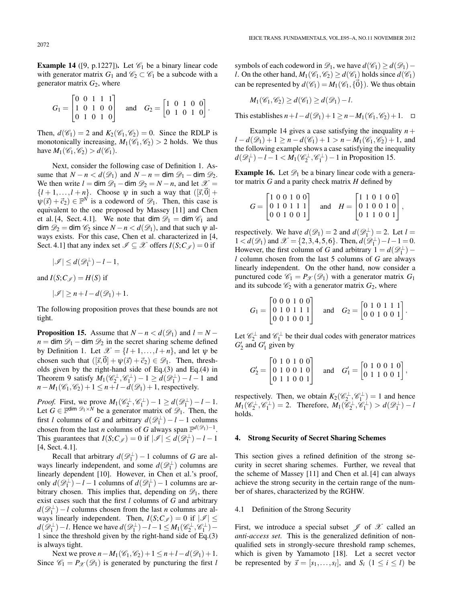**Example 14** ([9, p.1227]). Let  $\mathcal{C}_1$  be a binary linear code with generator matrix  $G_1$  and  $C_2 \subset C_1$  be a subcode with a generator matrix  $G_2$ , where

$$
G_1 = \begin{bmatrix} 0 & 0 & 1 & 1 & 1 \\ 1 & 0 & 1 & 0 & 0 \\ 0 & 1 & 0 & 1 & 0 \end{bmatrix} \quad \text{and} \quad G_2 = \begin{bmatrix} 1 & 0 & 1 & 0 & 0 \\ 0 & 1 & 0 & 1 & 0 \end{bmatrix}.
$$

Then,  $d(\mathcal{C}_1) = 2$  and  $K_2(\mathcal{C}_1, \mathcal{C}_2) = 0$ . Since the RDLP is monotonically increasing,  $M_1(\mathcal{C}_1, \mathcal{C}_2) > 2$  holds. We thus have  $M_1(\mathcal{C}_1, \mathcal{C}_2) > d(\mathcal{C}_1)$ .

Next, consider the following case of Definition 1. Assume that  $N - n < d(\mathcal{D}_1)$  and  $N - n = \dim \mathcal{D}_1 - \dim \mathcal{D}_2$ . We then write  $l = \dim \mathcal{D}_1 - \dim \mathcal{D}_2 = N - n$ , and let  $\mathcal{X} =$  $\{l+1,\ldots,l+n\}$ . Choose  $\psi$  in such a way that  $([\vec{s},\vec{0}] +$  $\psi(\vec{s}) + \vec{c}_2$ )  $\in \mathbb{F}^{\vec{N}}$  is a codeword of  $\mathscr{D}_1$ . Then, this case is equivalent to the one proposed by Massey [11] and Chen et al. [4, Sect. 4.1]. We note that  $\dim \mathcal{D}_1 = \dim \mathcal{C}_1$  and dim  $\mathcal{D}_2$  = dim  $\mathcal{C}_2$  since  $N - n < d(\mathcal{D}_1)$ , and that such  $\psi$  always exists. For this case, Chen et al. characterized in [4, Sect. 4.1] that any index set  $\mathcal{I} \subseteq \mathcal{X}$  offers  $I(S; C_{\mathcal{I}}) = 0$  if

$$
|\mathscr{I}| \leq d(\mathscr{D}_1^{\perp}) - l - 1,
$$

and  $I(S;C_{\mathscr{I}}) = H(S)$  if

$$
|\mathcal{I}| \geq n + l - d(\mathcal{D}_1) + 1.
$$

The following proposition proves that these bounds are not tight.

**Proposition 15.** Assume that  $N - n < d(\mathcal{D}_1)$  and  $l = N$  $n = \dim \mathcal{D}_1 - \dim \mathcal{D}_2$  in the secret sharing scheme defined by Definition 1. Let  $\mathcal{X} = \{l+1,\ldots,l+n\}$ , and let  $\psi$  be chosen such that  $([\vec{s}, \vec{0}] + \psi(\vec{s}) + \vec{c}_2) \in \mathcal{D}_1$ . Then, thresholds given by the right-hand side of Eq.(3) and Eq.(4) in Theorem 9 satisfy  $M_1(\mathcal{C}_2^{\perp}, \mathcal{C}_1^{\perp}) - 1 \ge d(\mathcal{D}_1^{\perp}) - l - 1$  and  $n-M_1(\mathcal{C}_1,\mathcal{C}_2)+1 \leq n+l-d(\mathcal{D}_1)+1$ , respectively.

*Proof.* First, we prove  $M_1(\mathscr{C}_2^{\perp}, \mathscr{C}_1^{\perp}) - 1 \ge d(\mathscr{D}_1^{\perp}) - l - 1$ . Let  $G \in \mathbb{F}^{\text{dim } \mathscr{D}_1 \times N}$  be a generator matrix of  $\mathscr{D}_1$ . Then, the first *l* columns of *G* and arbitrary  $d(\mathcal{D}_1^{\perp}) - l - 1$  columns chosen from the last *n* columns of *G* always span  $\mathbb{F}^{d(\mathscr{D}_1)-1}$ . This guarantees that  $I(S;C_{\mathscr{I}}) = 0$  if  $|\mathscr{I}| \le d(\mathscr{D}_1^{\perp}) - l - 1$ [4, Sect. 4.1].

Recall that arbitrary  $d(\mathscr{D}_1^{\perp}) - 1$  columns of *G* are always linearly independent, and some  $d(\mathscr{D}_1^{\perp})$  columns are linearly dependent [10]. However, in Chen et al.'s proof, only  $d(\mathscr{D}_1^{\perp}) - l - 1$  columns of  $d(\mathscr{D}_1^{\perp}) - 1$  columns are arbitrary chosen. This implies that, depending on  $\mathscr{D}_1$ , there exist cases such that the first *l* columns of *G* and arbitrary  $d(\mathscr{D}_1^{\perp}) - l$  columns chosen from the last *n* columns are always linearly independent. Then,  $I(S;C_{\mathscr{I}})=0$  if  $|\mathscr{I}| \leq$ *d*( $\mathscr{D}_1^{\perp}$ )−*l*. Hence we have  $d(\mathscr{D}_1^{\perp}) - l - 1 \leq M_1(\mathscr{C}_2^{\perp}, \mathscr{C}_1^{\perp}) -$ 1 since the threshold given by the right-hand side of Eq.(3) is always tight.

Next we prove  $n - M_1(\mathcal{C}_1, \mathcal{C}_2) + 1 \le n + l - d(\mathcal{D}_1) + 1$ . Since  $\mathcal{C}_1 = P_{\mathcal{X}}(\mathcal{D}_1)$  is generated by puncturing the first *l*  symbols of each codeword in  $\mathcal{D}_1$ , we have  $d(\mathcal{C}_1) > d(\mathcal{D}_1)$  − *l*. On the other hand,  $M_1(\mathcal{C}_1, \mathcal{C}_2) \ge d(\mathcal{C}_1)$  holds since  $d(\mathcal{C}_1)$ can be represented by  $d(\mathscr{C}_1) = M_1(\mathscr{C}_1, {\{\vec{0}\}})$ . We thus obtain

$$
M_1(\mathscr{C}_1, \mathscr{C}_2) \ge d(\mathscr{C}_1) \ge d(\mathscr{D}_1) - l.
$$

This establishes  $n+l-d(\mathcal{D}_1)+1 \geq n-M_1(\mathcal{C}_1,\mathcal{C}_2)+1$ .  $\Box$ 

Example 14 gives a case satisfying the inequality  $n +$ *l* − *d*( $\mathcal{D}_1$ ) + 1 ≥ *n* − *d*( $\mathcal{C}_1$ ) + 1 > *n* − *M*<sub>1</sub>( $\mathcal{C}_1$ ,  $\mathcal{C}_2$ ) + 1, and the following example shows a case satisfying the inequality  $d(\mathscr{D}_1^{\perp}) - l - 1 < M_1(\mathscr{C}_2^{\perp}, \mathscr{C}_1^{\perp}) - 1$  in Proposition 15.

**Example 16.** Let  $\mathcal{D}_1$  be a binary linear code with a generator matrix *G* and a parity check matrix *H* defined by

$$
G = \begin{bmatrix} 1 & 0 & 0 & 1 & 0 & 0 \\ 0 & 1 & 0 & 1 & 1 & 1 \\ 0 & 0 & 1 & 0 & 0 & 1 \end{bmatrix} \text{ and } H = \begin{bmatrix} 1 & 1 & 0 & 1 & 0 & 0 \\ 0 & 1 & 0 & 0 & 1 & 0 \\ 0 & 1 & 1 & 0 & 0 & 1 \end{bmatrix},
$$

respectively. We have  $d(\mathcal{D}_1) = 2$  and  $d(\mathcal{D}_1^{\perp}) = 2$ . Let  $l =$  $1 < d(\mathcal{D}_1)$  and  $\mathcal{X} = \{2, 3, 4, 5, 6\}$ . Then,  $d(\mathcal{D}_1^{\perp}) - l - 1 = 0$ . However, the first column of *G* and arbitrary  $1 = d(\mathcal{D}_1^{\perp})$  – *l* column chosen from the last 5 columns of *G* are always linearly independent. On the other hand, now consider a punctured code  $\mathcal{C}_1 = P_{\mathcal{X}}(\mathcal{D}_1)$  with a generator matrix  $G_1$ and its subcode  $\mathcal{C}_2$  with a generator matrix  $G_2$ , where

$$
G_1 = \begin{bmatrix} 0 & 0 & 0 & 1 & 0 & 0 \\ 0 & 1 & 0 & 1 & 1 & 1 \\ 0 & 0 & 1 & 0 & 0 & 1 \end{bmatrix} \text{ and } G_2 = \begin{bmatrix} 0 & 1 & 0 & 1 & 1 & 1 \\ 0 & 0 & 1 & 0 & 0 & 1 \end{bmatrix}.
$$

Let  $\mathcal{C}_2^{\perp}$  and  $\mathcal{C}_1^{\perp}$  be their dual codes with generator matrices  $G_2'$  and  $G_1'$  given by

$$
G_2' = \begin{bmatrix} 0 & 1 & 0 & 1 & 0 & 0 \\ 0 & 1 & 0 & 0 & 1 & 0 \\ 0 & 1 & 1 & 0 & 0 & 1 \end{bmatrix} \text{ and } G_1' = \begin{bmatrix} 0 & 1 & 0 & 0 & 1 & 0 \\ 0 & 1 & 1 & 0 & 0 & 1 \end{bmatrix},
$$

respectively. Then, we obtain  $K_2(\mathcal{C}_2^{\perp}, \mathcal{C}_1^{\perp}) = 1$  and hence  $M_1(\mathscr{C}_2^{\perp}, \mathscr{C}_1^{\perp}) = 2$ . Therefore,  $M_1(\tilde{\mathscr{C}}_2^{\perp}, \tilde{\mathscr{C}}_1^{\perp}) > d(\mathscr{D}_1^{\perp}) - l$ holds.

# **4. Strong Security of Secret Sharing Schemes**

This section gives a refined definition of the strong security in secret sharing schemes. Further, we reveal that the scheme of Massey [11] and Chen et al. [4] can always achieve the strong security in the certain range of the number of shares, characterized by the RGHW.

## 4.1 Definition of the Strong Security

First, we introduce a special subset *J* of *X* called an *anti-access set*. This is the generalized definition of nonqualified sets in strongly-secure threshold ramp schemes, which is given by Yamamoto [18]. Let a secret vector be represented by  $\vec{s} = [s_1, \ldots, s_l]$ , and  $S_i$   $(1 \le i \le l)$  be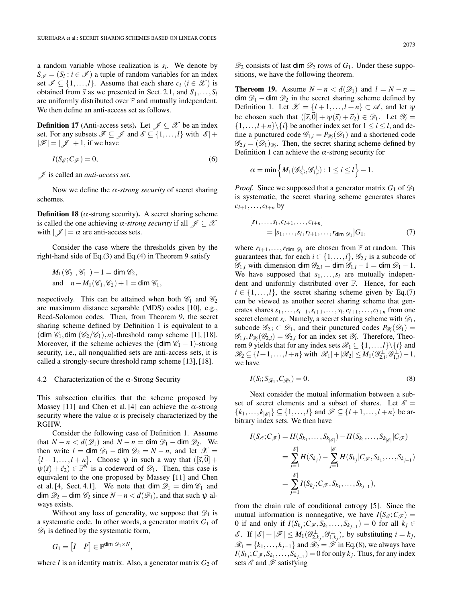a random variable whose realization is *si*. We denote by  $S_{\mathscr{I}} = (S_i : i \in \mathscr{I})$  a tuple of random variables for an index set  $\mathscr{I} \subseteq \{1, ..., l\}$ . Assume that each share  $c_i$  ( $i \in \mathscr{X}$ ) is obtained from  $\vec{s}$  as we presented in Sect. 2.1, and  $S_1, \ldots, S_l$ are uniformly distributed over  $F$  and mutually independent. We then define an anti-access set as follows.

**Definition 17** (Anti-access sets). Let  $\mathcal{J} \subseteq \mathcal{X}$  be an index set. For any subsets  $\mathscr{F} \subseteq \mathscr{J}$  and  $\mathscr{E} \subseteq \{1, ..., l\}$  with  $|\mathscr{E}|$  +  $|\mathscr{F}| = |\mathscr{J}| + 1$ , if we have

$$
I(S_{\mathscr{E}}; C_{\mathscr{F}}) = 0,\tag{6}
$$

*J* is called an *anti-access set*.

Now we define the  $\alpha$ -strong security of secret sharing schemes.

**Definition 18** ( $\alpha$ -strong security). A secret sharing scheme is called the one achieving  $\alpha$ -strong security if all  $\mathcal{J} \subseteq \mathcal{X}$ with  $|\mathscr{J}| = \alpha$  are anti-access sets.

Consider the case where the thresholds given by the right-hand side of Eq.(3) and Eq.(4) in Theorem 9 satisfy

$$
M_1(\mathscr{C}_2^{\perp}, \mathscr{C}_1^{\perp}) - 1 = \dim \mathscr{C}_2,
$$
  
and 
$$
n - M_1(\mathscr{C}_1, \mathscr{C}_2) + 1 = \dim \mathscr{C}_1,
$$

respectively. This can be attained when both  $\mathcal{C}_1$  and  $\mathcal{C}_2$ are maximum distance separable (MDS) codes [10], e.g., Reed-Solomon codes. Then, from Theorem 9, the secret sharing scheme defined by Definition 1 is equivalent to a (dim  $\mathcal{C}_1$ , dim  $(\mathcal{C}_2/\mathcal{C}_1)$ , *n*)-threshold ramp scheme [1], [18]. Moreover, if the scheme achieves the  $(\dim \mathcal{C}_1 - 1)$ -strong security, i.e., all nonqualified sets are anti-access sets, it is called a strongly-secure threshold ramp scheme [13], [18].

# 4.2 Characterization of the  $\alpha$ -Strong Security

This subsection clarifies that the scheme proposed by Massey [11] and Chen et al. [4] can achieve the  $\alpha$ -strong security where the value  $\alpha$  is precisely characterized by the RGHW.

Consider the following case of Definition 1. Assume that  $N - n < d(\mathcal{D}_1)$  and  $N - n = \dim \mathcal{D}_1 - \dim \mathcal{D}_2$ . We then write  $l = \dim \mathcal{D}_1 - \dim \mathcal{D}_2 = N - n$ , and let  $\mathcal{X} =$  $\{l+1,\ldots,l+n\}$ . Choose  $\psi$  in such a way that  $([\vec{s},\vec{0}] +$  $\psi(\vec{s}) + \vec{c}_2$ )  $\in \mathbb{F}^N$  is a codeword of  $\mathscr{D}_1$ . Then, this case is equivalent to the one proposed by Massey [11] and Chen et al. [4, Sect. 4.1]. We note that dim  $\mathscr{D}_1 = \dim \mathscr{C}_1$  and dim  $\mathcal{D}_2$  = dim  $\mathcal{C}_2$  since  $N - n < d(\mathcal{D}_1)$ , and that such  $\psi$  always exists.

Without any loss of generality, we suppose that  $\mathscr{D}_1$  is a systematic code. In other words, a generator matrix  $G_1$  of  $\mathscr{D}_1$  is defined by the systematic form,

$$
G_1 = \begin{bmatrix} I & P \end{bmatrix} \in \mathbb{F}^{\dim \mathscr{D}_1 \times N},
$$

where  $I$  is an identity matrix. Also, a generator matrix  $G_2$  of

 $\mathscr{D}_2$  consists of last dim  $\mathscr{D}_2$  rows of  $G_1$ . Under these suppositions, we have the following theorem.

**Thereom 19.** Assume  $N - n < d(\mathcal{D}_1)$  and  $l = N - n =$ dim  $\mathscr{D}_1$  – dim  $\mathscr{D}_2$  in the secret sharing scheme defined by Definition 1. Let  $\mathcal{X} = \{l+1,\ldots,l+n\} \subset \mathcal{A}$ , and let  $\psi$ be chosen such that  $([\vec{s}, \vec{0}] + \psi(\vec{s}) + \vec{c}_2) \in \mathcal{D}_1$ . Let  $\mathcal{Y}_i =$  $\{1,\ldots,l+n\}\$ i be another index set for  $1 \leq i \leq l$ , and define a punctured code  $\mathscr{G}_{1,i} = P_{\mathscr{Y}_i}(\mathscr{D}_1)$  and a shortened code  $\mathscr{G}_{2,i} = (\mathscr{D}_1)_{\mathscr{Y}_i}$ . Then, the secret sharing scheme defined by Definition 1 can achieve the  $\alpha$ -strong security for

$$
\alpha = \min\left\{M_1(\mathscr{G}_{2,i}^{\perp}, \mathscr{G}_{1,i}^{\perp}): 1 \leq i \leq l\right\} - 1.
$$

*Proof.* Since we supposed that a generator matrix  $G_1$  of  $\mathscr{D}_1$ is systematic, the secret sharing scheme generates shares  $c_{l+1},\ldots,c_{l+n}$  by

$$
[s_1, \ldots, s_l, c_{l+1}, \ldots, c_{l+n}]
$$
  
=  $[s_1, \ldots, s_l, r_{l+1}, \ldots, r_{\text{dim } \mathscr{D}_1}] G_1,$  (7)

where  $r_{l+1}, \ldots, r_{\text{dim } \mathcal{D}_1}$  are chosen from  $\mathbb F$  at random. This guarantees that, for each  $i \in \{1, ..., l\}$ ,  $\mathcal{G}_{2,i}$  is a subcode of  $\mathscr{G}_{1,i}$  with dimension dim  $\mathscr{G}_{2,i} = \dim \mathscr{G}_{1,i} - 1 = \dim \mathscr{D}_1 - 1$ . We have supposed that  $s_1, \ldots, s_l$  are mutually independent and uniformly distributed over F. Hence, for each  $i \in \{1, \ldots, l\}$ , the secret sharing scheme given by Eq.(7) can be viewed as another secret sharing scheme that generates shares  $s_1, \ldots, s_{i-1}, s_{i+1}, \ldots, s_l, c_{l+1}, \ldots, c_{l+n}$  from one secret element  $s_i$ . Namely, a secret sharing scheme with  $\mathscr{D}_1$ , subcode  $\mathscr{G}_{2,i} \subset \mathscr{D}_1$ , and their punctured codes  $P_{\mathscr{Y}_i}(\mathscr{D}_1) =$  $\mathscr{G}_{1,i}, P_{\mathscr{Y}_i}(\mathscr{G}_{2,i}) = \mathscr{G}_{2,i}$  for an index set  $\mathscr{Y}_i$ . Therefore, Theorem 9 yields that for any index sets  $\mathcal{R}_1 \subseteq \{1, ..., l\} \setminus \{i\}$  and  $\mathscr{R}_2 \subseteq \{l+1,\ldots,l+n\}$  with  $|\mathscr{R}_1| + |\mathscr{R}_2| \leq M_1(\mathscr{G}_{2,i}^{\perp}, \mathscr{G}_{1,i}^{\perp}) - 1$ , we have

$$
I(S_i; S_{\mathcal{R}_1}, C_{\mathcal{R}_2}) = 0. \tag{8}
$$

Next consider the mutual information between a subset of secret elements and a subset of shares. Let  $\mathscr{E} =$  $\{k_1,\ldots,k_{|\mathcal{E}|}\}\subseteq\{1,\ldots,l\}$  and  $\mathcal{F}\subseteq\{l+1,\ldots,l+n\}$  be arbitrary index sets. We then have

$$
I(S_{\mathscr{E}}; C_{\mathscr{F}}) = H(S_{k_1}, \dots, S_{k_{|\mathscr{E}|}}) - H(S_{k_1}, \dots, S_{k_{|\mathscr{E}|}} | C_{\mathscr{F}})
$$
  
= 
$$
\sum_{j=1}^{|\mathscr{E}|} H(S_{k_j}) - \sum_{j=1}^{|\mathscr{E}|} H(S_{k_j} | C_{\mathscr{F}}, S_{k_1}, \dots, S_{k_{j-1}})
$$
  
= 
$$
\sum_{j=1}^{|\mathscr{E}|} I(S_{k_j}; C_{\mathscr{F}}, S_{k_1}, \dots, S_{k_{j-1}}),
$$

from the chain rule of conditional entropy [5]. Since the mutual information is nonnegative, we have  $I(S_{\mathscr{E}}; C_{\mathscr{F}}) =$ 0 if and only if  $I(S_{k_j}; C_{\mathscr{F}}, S_{k_1}, \ldots, S_{k_{j-1}}) = 0$  for all  $k_j \in$  $\mathscr{E}$ . If  $|\mathscr{E}| + |\mathscr{F}| \leq M_1(\mathscr{G}_{2,k_j}^{\perp}, \mathscr{G}_{1,k_j}^{\perp}),$  by substituting  $i = k_j$ ,  $\mathscr{R}_1 = \{k_1, \ldots, k_{j-1}\}\$  and  $\mathscr{R}_2 = \mathscr{F}$  in Eq.(8), we always have  $I(S_{k_j};C_{\mathscr{F}},S_{k_1},\ldots,S_{k_{j-1}})=0$  for only  $k_j$ . Thus, for any index sets *E* and *F* satisfying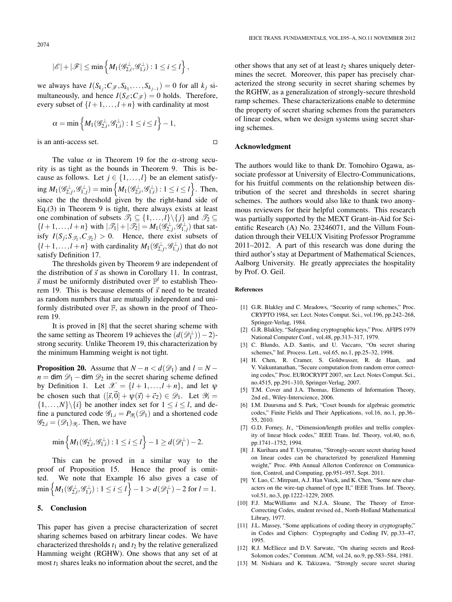2074

$$
|\mathscr{E}|+|\mathscr{F}| \leq \min\left\{M_1(\mathscr{G}_{2,i}^\perp,\mathscr{G}_{1,i}^\perp): 1 \leq i \leq l\right\},\,
$$

we always have  $I(S_{k_j}; C_{\mathscr{F}}, S_{k_1}, \ldots, S_{k_{j-1}}) = 0$  for all  $k_j$  simultaneously, and hence  $I(S_{\mathscr{E}}; C_{\mathscr{F}}) = 0$  holds. Therefore, every subset of  $\{l+1,\ldots,l+n\}$  with cardinality at most

$$
\alpha = \min \left\{ M_1(\mathscr{G}_{2,i}^{\perp}, \mathscr{G}_{1,i}^{\perp}): 1 \leq i \leq l \right\} - 1,
$$

is an anti-access set.

The value  $\alpha$  in Theorem 19 for the  $\alpha$ -strong security is as tight as the bounds in Theorem 9. This is because as follows. Let  $j \in \{1, ..., l\}$  be an element satisfy- $\lim_{i \to \infty} M_1(\mathscr{G}_{2,i}^{\perp}, \mathscr{G}_{1,j}^{\perp}) = \min \left\{ M_1(\mathscr{G}_{2,i}^{\perp}, \mathscr{G}_{1,i}^{\perp}) : 1 \leq i \leq l \right\}.$  Then, since the the threshold given by the right-hand side of Eq.(3) in Theorem 9 is tight, there always exists at least one combination of subsets  $\mathscr{T}_1 \subseteq \{1, ..., l\} \setminus \{j\}$  and  $\mathscr{T}_2 \subseteq$  $\{l+1,\ldots,l+n\}$  with  $|\mathcal{T}_1|+|\mathcal{T}_2|=M_1(\mathcal{G}_{2,j}^{\perp}, \mathcal{G}_{1,j}^{\perp})$  that satisfy  $I(S_j; S_{\mathcal{T}_1}, C_{\mathcal{T}_2}) > 0$ . Hence, there exist subsets of  $\{l+1,\ldots,l+n\}$  with cardinality  $M_1(\mathscr{G}_{2,j}^{\perp},\mathscr{G}_{1,j}^{\perp})$  that do not satisfy Definition 17.

The thresholds given by Theorem 9 are independent of the distribution of  $\vec{s}$  as shown in Corollary 11. In contrast,  $\vec{s}$  must be uniformly distributed over  $\mathbb{F}^l$  to establish Theorem 19. This is because elements of  $\vec{s}$  need to be treated as random numbers that are mutually independent and uniformly distributed over F, as shown in the proof of Theorem 19.

It is proved in [8] that the secret sharing scheme with the same setting as Theorem 19 achieves the  $(d(\mathscr{D}_1^{\perp})) - 2$ )strong security. Unlike Theorem 19, this characterization by the minimum Hamming weight is not tight.

**Proposition 20.** Assume that  $N - n < d(\mathcal{D}_1)$  and  $l = N$  $n = \dim \mathcal{D}_1 - \dim \mathcal{D}_2$  in the secret sharing scheme defined by Definition 1. Let  $\mathcal{X} = \{l+1,\ldots,l+n\}$ , and let  $\psi$ be chosen such that  $([\vec{s}, \vec{0}] + \psi(\vec{s}) + \vec{c}_2) \in \mathcal{D}_1$ . Let  $\mathcal{Y}_i =$  $\{1,\ldots,N\}\$ i be another index set for  $1 \le i \le l$ , and define a punctured code  $\mathscr{G}_{1,i} = P_{\mathscr{Y}_i}(\mathscr{D}_1)$  and a shortened code  $\mathscr{G}_{2,i} = (\mathscr{D}_1)_{\mathscr{Y}_i}$ . Then, we have

$$
\min\left\{M_1(\mathcal{G}_{2,i}^{\perp},\mathcal{G}_{1,i}^{\perp}):1\leq i\leq l\right\}-1\geq d(\mathcal{D}_1^{\perp})-2.
$$

This can be proved in a similar way to the proof of Proposition 15. Hence the proof is omitted. We note that Example 16 also gives a case of  $\min\left\{M_1(\mathscr{G}_{2,i}^{\perp},\mathscr{G}_{1,i}^{\perp}):1\leq i\leq l\right\}-1>d(\mathscr{D}_1^{\perp})-2\text{ for }l=1.$ 

# **5. Conclusion**

This paper has given a precise characterization of secret sharing schemes based on arbitrary linear codes. We have characterized thresholds  $t_1$  and  $t_2$  by the relative generalized Hamming weight (RGHW). One shows that any set of at most  $t_1$  shares leaks no information about the secret, and the other shows that any set of at least  $t_2$  shares uniquely determines the secret. Moreover, this paper has precisely characterized the strong security in secret sharing schemes by the RGHW, as a generalization of strongly-secure threshold ramp schemes. These characterizations enable to determine the property of secret sharing schemes from the parameters of linear codes, when we design systems using secret sharing schemes.

## **Acknowledgment**

 $\Box$ 

The authors would like to thank Dr. Tomohiro Ogawa, associate professor at University of Electro-Communications, for his fruitful comments on the relationship between distribution of the secret and thresholds in secret sharing schemes. The authors would also like to thank two anonymous reviewers for their helpful comments. This research was partially supported by the MEXT Grant-in-Aid for Scientific Research (A) No. 23246071, and the Villum Foundation through their VELUX Visiting Professor Programme 2011–2012. A part of this research was done during the third author's stay at Department of Mathematical Sciences, Aalborg University. He greatly appreciates the hospitality by Prof. O. Geil.

# **References**

- [1] G.R. Blakley and C. Meadows, "Security of ramp schemes," Proc. CRYPTO 1984, ser. Lect. Notes Comput. Sci., vol.196, pp.242–268, Springer-Verlag, 1984.
- [2] G.R. Blakley, "Safeguarding cryptographic keys," Proc. AFIPS 1979 National Computer Conf., vol.48, pp.313–317, 1979.
- [3] C. Blundo, A.D. Santis, and U. Vaccaro, "On secret sharing schemes," Inf. Process. Lett., vol.65, no.1, pp.25–32, 1998.
- [4] H. Chen, R. Cramer, S. Goldwasser, R. de Haan, and V. Vaikuntanathan, "Secure computation from random error correcting codes," Proc. EUROCRYPT 2007, ser. Lect. Notes Comput. Sci., no.4515, pp.291–310, Springer-Verlag, 2007.
- [5] T.M. Cover and J.A. Thomas, Elements of Information Theory, 2nd ed., Wiley-Interscience, 2006.
- [6] I.M. Duursma and S. Park, "Coset bounds for algebraic geometric codes," Finite Fields and Their Applications, vol.16, no.1, pp.36– 55, 2010.
- [7] G.D. Forney, Jr., "Dimension/length profiles and trellis complexity of linear block codes," IEEE Trans. Inf. Theory, vol.40, no.6, pp.1741–1752, 1994.
- [8] J. Kurihara and T. Uyematsu, "Strongly-secure secret sharing based on linear codes can be characterized by generalized Hamming weight," Proc. 49th Annual Allerton Conference on Communication, Control, and Computing, pp.951–957, Sept. 2011.
- [9] Y. Luo, C. Mitrpant, A.J. Han Vinck, and K. Chen, "Some new characters on the wire-tap channel of type II," IEEE Trans. Inf. Theory, vol.51, no.3, pp.1222–1229, 2005.
- [10] F.J. MacWilliams and N.J.A. Sloane, The Theory of Error-Correcting Codes, student revised ed., North-Holland Mathematical Library, 1977.
- [11] J.L. Massey, "Some applications of coding theory in cryptography," in Codes and Ciphers: Cryptography and Coding IV, pp.33–47, 1995.
- [12] R.J. McEliece and D.V. Sarwate, "On sharing secrets and Reed-Solomon codes," Commun. ACM, vol.24, no.9, pp.583–584, 1981.
- [13] M. Nishiara and K. Takizawa, "Strongly secure secret sharing